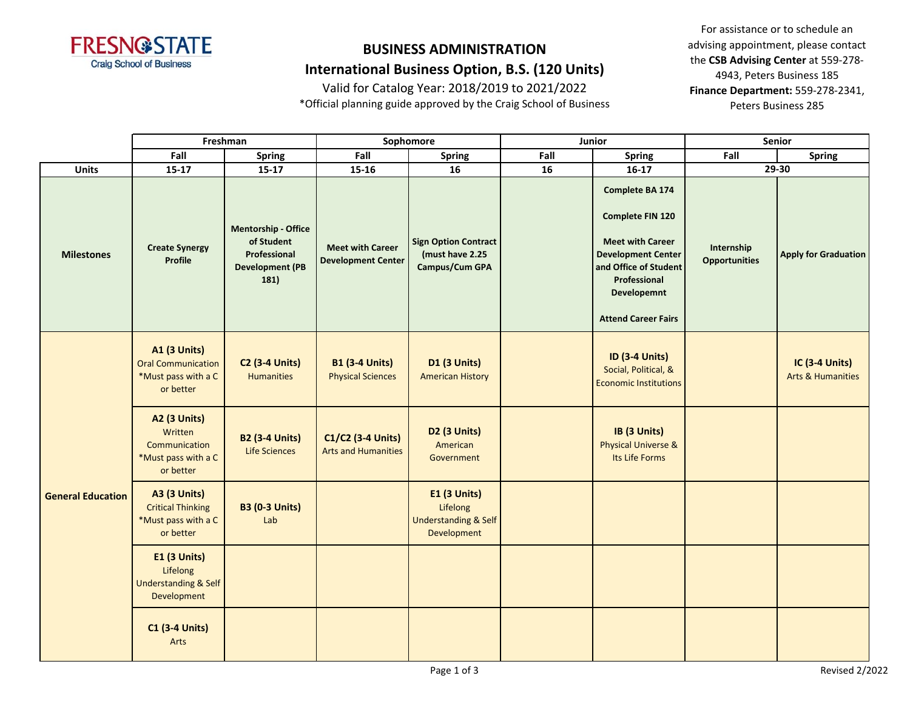

# **BUSINESS ADMINISTRATION**

## **International Business Option, B.S. (120 Units)**

Valid for Catalog Year: 2018/2019 to 2021/2022 \*Official planning guide approved by the Craig School of Business

|                          | Freshman                                                                             |                                                                                     | Sophomore                                            |                                                                                   | Junior |                                                                                                                                                                                          | Senior                             |                                                |  |
|--------------------------|--------------------------------------------------------------------------------------|-------------------------------------------------------------------------------------|------------------------------------------------------|-----------------------------------------------------------------------------------|--------|------------------------------------------------------------------------------------------------------------------------------------------------------------------------------------------|------------------------------------|------------------------------------------------|--|
|                          | Fall                                                                                 | <b>Spring</b>                                                                       | Fall                                                 | <b>Spring</b>                                                                     | Fall   | <b>Spring</b>                                                                                                                                                                            | Fall                               | <b>Spring</b>                                  |  |
| <b>Units</b>             | $15-17$                                                                              | $15-17$                                                                             | $15 - 16$                                            | 16                                                                                | 16     | $16-17$                                                                                                                                                                                  |                                    | 29-30                                          |  |
| <b>Milestones</b>        | <b>Create Synergy</b><br>Profile                                                     | Mentorship - Office<br>of Student<br>Professional<br><b>Development (PB</b><br>181) | <b>Meet with Career</b><br><b>Development Center</b> | <b>Sign Option Contract</b><br>(must have 2.25<br>Campus/Cum GPA                  |        | Complete BA 174<br>Complete FIN 120<br><b>Meet with Career</b><br><b>Development Center</b><br>and Office of Student<br>Professional<br><b>Developemnt</b><br><b>Attend Career Fairs</b> | Internship<br><b>Opportunities</b> | <b>Apply for Graduation</b>                    |  |
|                          | <b>A1 (3 Units)</b><br><b>Oral Communication</b><br>*Must pass with a C<br>or better | <b>C2 (3-4 Units)</b><br><b>Humanities</b>                                          | <b>B1 (3-4 Units)</b><br><b>Physical Sciences</b>    | D1 (3 Units)<br><b>American History</b>                                           |        | <b>ID (3-4 Units)</b><br>Social, Political, &<br><b>Economic Institutions</b>                                                                                                            |                                    | IC (3-4 Units)<br><b>Arts &amp; Humanities</b> |  |
| <b>General Education</b> | <b>A2 (3 Units)</b><br>Written<br>Communication<br>*Must pass with a C<br>or better  | <b>B2 (3-4 Units)</b><br>Life Sciences                                              | C1/C2 (3-4 Units)<br><b>Arts and Humanities</b>      | D2 (3 Units)<br>American<br>Government                                            |        | IB (3 Units)<br><b>Physical Universe &amp;</b><br>Its Life Forms                                                                                                                         |                                    |                                                |  |
|                          | <b>A3 (3 Units)</b><br><b>Critical Thinking</b><br>*Must pass with a C<br>or better  | <b>B3 (0-3 Units)</b><br>Lab                                                        |                                                      | <b>E1 (3 Units)</b><br>Lifelong<br><b>Understanding &amp; Self</b><br>Development |        |                                                                                                                                                                                          |                                    |                                                |  |
|                          | <b>E1 (3 Units)</b><br>Lifelong<br><b>Understanding &amp; Self</b><br>Development    |                                                                                     |                                                      |                                                                                   |        |                                                                                                                                                                                          |                                    |                                                |  |
|                          | <b>C1 (3-4 Units)</b><br>Arts                                                        |                                                                                     |                                                      |                                                                                   |        |                                                                                                                                                                                          |                                    |                                                |  |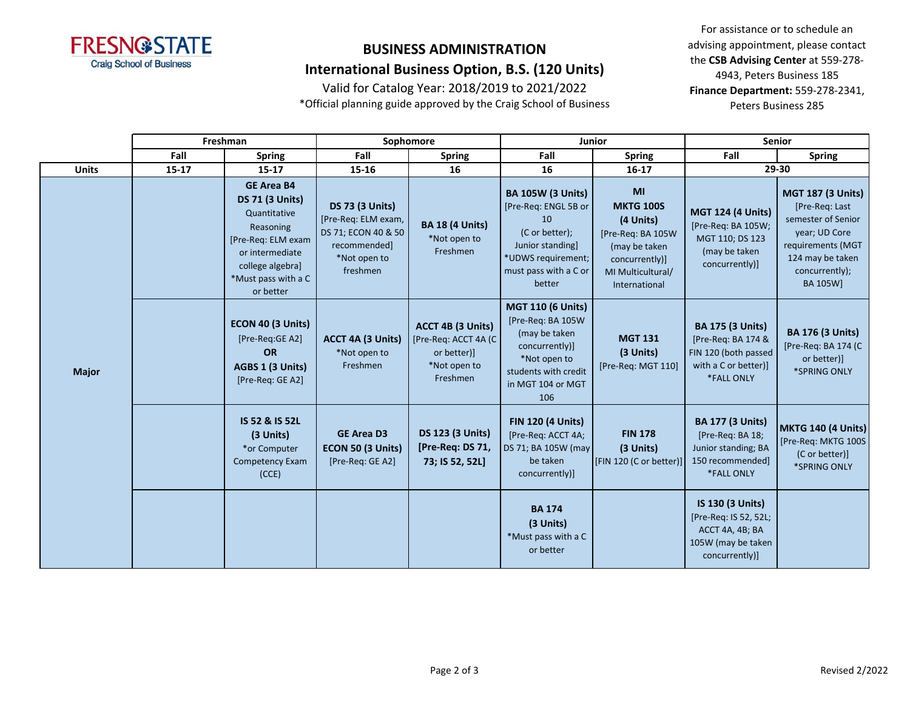

## **BUSINESS ADMINISTRATION**

## **International Business Option, B.S. (120 Units)**

Valid for Catalog Year: 2018/2019 to 2021/2022

\*Official planning guide approved by the Craig School of Business

|              | Freshman  |                                                                                                                                                                           |                                                                                                                  | Sophomore                                                                            | Junior                                                                                                                                                |                                                                                                                                   |                                                                                                             | <b>Senior</b>                                                                                                                                            |  |
|--------------|-----------|---------------------------------------------------------------------------------------------------------------------------------------------------------------------------|------------------------------------------------------------------------------------------------------------------|--------------------------------------------------------------------------------------|-------------------------------------------------------------------------------------------------------------------------------------------------------|-----------------------------------------------------------------------------------------------------------------------------------|-------------------------------------------------------------------------------------------------------------|----------------------------------------------------------------------------------------------------------------------------------------------------------|--|
|              | Fall      | <b>Spring</b>                                                                                                                                                             | Fall                                                                                                             | <b>Spring</b>                                                                        | Fall                                                                                                                                                  | <b>Spring</b>                                                                                                                     | Fall                                                                                                        | <b>Spring</b>                                                                                                                                            |  |
| <b>Units</b> | $15 - 17$ | $15 - 17$                                                                                                                                                                 | 15-16                                                                                                            | 16<br>16                                                                             |                                                                                                                                                       | $16 - 17$                                                                                                                         |                                                                                                             | 29-30                                                                                                                                                    |  |
|              |           | <b>GE Area B4</b><br><b>DS 71 (3 Units)</b><br>Quantitative<br>Reasoning<br>[Pre-Req: ELM exam<br>or intermediate<br>college algebra]<br>*Must pass with a C<br>or better | <b>DS 73 (3 Units)</b><br>[Pre-Req: ELM exam,<br>DS 71; ECON 40 & 50<br>recommended]<br>*Not open to<br>freshmen | <b>BA 18 (4 Units)</b><br>*Not open to<br>Freshmen                                   | <b>BA 105W (3 Units)</b><br>[Pre-Req: ENGL 5B or<br>10<br>(C or better);<br>Junior standing]<br>*UDWS requirement;<br>must pass with a C or<br>better | MI<br><b>MKTG 100S</b><br>(4 Units)<br>[Pre-Req: BA 105W<br>(may be taken<br>concurrently)]<br>MI Multicultural/<br>International | <b>MGT 124 (4 Units)</b><br>[Pre-Req: BA 105W;<br>MGT 110; DS 123<br>(may be taken<br>concurrently)]        | <b>MGT 187 (3 Units)</b><br>[Pre-Req: Last<br>semester of Senior<br>year; UD Core<br>requirements (MGT<br>124 may be taken<br>concurrently);<br>BA 105W] |  |
| <b>Major</b> |           | ECON 40 (3 Units)<br>[Pre-Req:GE A2]<br><b>OR</b><br>AGBS 1 (3 Units)<br>[Pre-Req: GE A2]                                                                                 | ACCT 4A (3 Units)<br>*Not open to<br>Freshmen                                                                    | ACCT 4B (3 Units)<br>[Pre-Req: ACCT 4A (C<br>or better)]<br>*Not open to<br>Freshmen | <b>MGT 110 (6 Units)</b><br>[Pre-Req: BA 105W<br>(may be taken<br>concurrently)]<br>*Not open to<br>students with credit<br>in MGT 104 or MGT<br>106  | <b>MGT 131</b><br>(3 Units)<br>[Pre-Req: MGT 110]                                                                                 | <b>BA 175 (3 Units)</b><br>[Pre-Req: BA 174 &<br>FIN 120 (both passed<br>with a C or better)]<br>*FALL ONLY | <b>BA 176 (3 Units)</b><br>[Pre-Req: BA 174 (C<br>or better)]<br>*SPRING ONLY                                                                            |  |
|              |           | IS 52 & IS 52L<br>(3 Units)<br>*or Computer<br>Competency Exam<br>(CCE)                                                                                                   | <b>GE Area D3</b><br>ECON 50 (3 Units)<br>[Pre-Req: GE A2]                                                       | <b>DS 123 (3 Units)</b><br>[Pre-Req: DS 71,<br>73; IS 52, 52L]                       | <b>FIN 120 (4 Units)</b><br>[Pre-Req: ACCT 4A;<br>DS 71; BA 105W (may<br>be taken<br>concurrently)]                                                   | <b>FIN 178</b><br>(3 Units)<br>[FIN 120 (C or better)]                                                                            | <b>BA 177 (3 Units)</b><br>[Pre-Req: BA 18;<br>Junior standing; BA<br>150 recommended]<br><b>*FALL ONLY</b> | MKTG 140 (4 Units)<br>[Pre-Req: MKTG 100S<br>(C or better)]<br>*SPRING ONLY                                                                              |  |
|              |           |                                                                                                                                                                           |                                                                                                                  |                                                                                      | <b>BA 174</b><br>(3 Units)<br>*Must pass with a C<br>or better                                                                                        |                                                                                                                                   | IS 130 (3 Units)<br>[Pre-Req: IS 52, 52L;<br>ACCT 4A, 4B; BA<br>105W (may be taken<br>concurrently)]        |                                                                                                                                                          |  |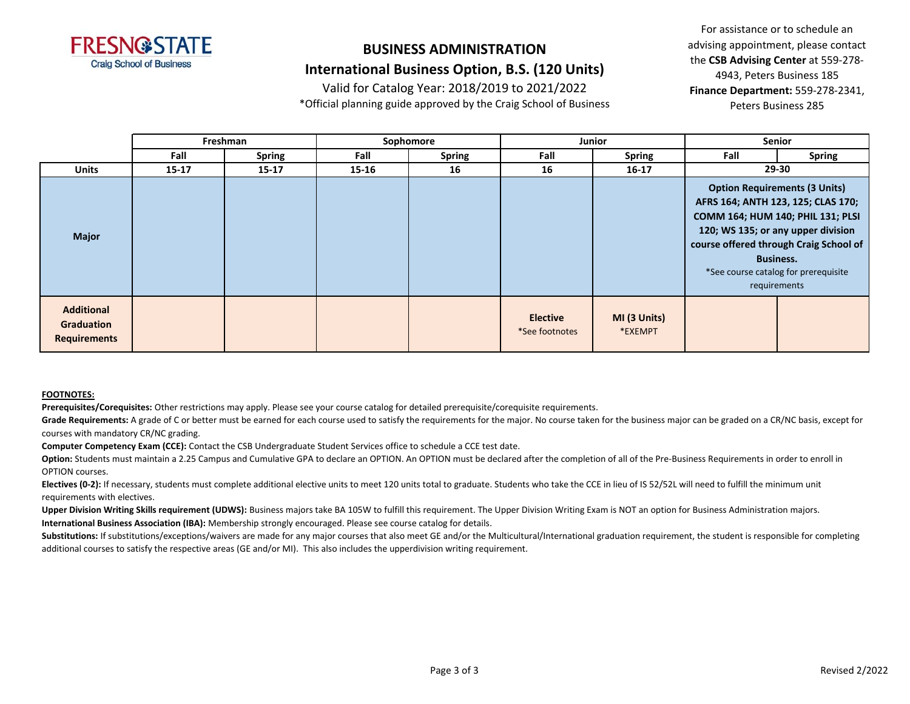

## **BUSINESS ADMINISTRATION**

### **International Business Option, B.S. (120 Units)**

Valid for Catalog Year: 2018/2019 to 2021/2022

\*Official planning guide approved by the Craig School of Business

For assistance or to schedule an advising appointment, please contact the **CSB Advising Center** at 559-278- 4943, Peters Business 185 **Finance Department:** 559-278-2341, Peters Business 285

|                                                        |           | Freshman      | Sophomore<br><b>Junior</b> |               | <b>Senior</b>                     |                         |       |                                                                                                                                                                                                                                                                             |
|--------------------------------------------------------|-----------|---------------|----------------------------|---------------|-----------------------------------|-------------------------|-------|-----------------------------------------------------------------------------------------------------------------------------------------------------------------------------------------------------------------------------------------------------------------------------|
|                                                        | Fall      | <b>Spring</b> | Fall                       | <b>Spring</b> | Fall                              | <b>Spring</b>           | Fall  | <b>Spring</b>                                                                                                                                                                                                                                                               |
| <b>Units</b>                                           | $15 - 17$ | $15 - 17$     | 15-16                      | 16            | 16                                | $16 - 17$               | 29-30 |                                                                                                                                                                                                                                                                             |
| <b>Major</b>                                           |           |               |                            |               |                                   |                         |       | <b>Option Requirements (3 Units)</b><br>AFRS 164; ANTH 123, 125; CLAS 170;<br>COMM 164; HUM 140; PHIL 131; PLSI<br>120; WS 135; or any upper division<br>course offered through Craig School of<br><b>Business.</b><br>*See course catalog for prerequisite<br>requirements |
| <b>Additional</b><br>Graduation<br><b>Requirements</b> |           |               |                            |               | <b>Elective</b><br>*See footnotes | MI (3 Units)<br>*EXEMPT |       |                                                                                                                                                                                                                                                                             |

#### **FOOTNOTES:**

**Prerequisites/Corequisites:** Other restrictions may apply. Please see your course catalog for detailed prerequisite/corequisite requirements.

Grade Requirements: A grade of C or better must be earned for each course used to satisfy the requirements for the major. No course taken for the business major can be graded on a CR/NC basis, except for courses with mandatory CR/NC grading.

**Computer Competency Exam (CCE):** Contact the CSB Undergraduate Student Services office to schedule a CCE test date.

Option: Students must maintain a 2.25 Campus and Cumulative GPA to declare an OPTION. An OPTION must be declared after the completion of all of the Pre-Business Requirements in order to enroll in OPTION courses.

**Electives (0-2):** If necessary, students must complete additional elective units to meet 120 units total to graduate. Students who take the CCE in lieu of IS 52/52L will need to fulfill the minimum unit requirements with electives.

Upper Division Writing Skills requirement (UDWS): Business majors take BA 105W to fulfill this requirement. The Upper Division Writing Exam is NOT an option for Business Administration majors. **International Business Association (IBA):** Membership strongly encouraged. Please see course catalog for details.

Substitutions: If substitutions/exceptions/waivers are made for any major courses that also meet GE and/or the Multicultural/International graduation requirement, the student is responsible for completing additional courses to satisfy the respective areas (GE and/or MI). This also includes the upperdivision writing requirement.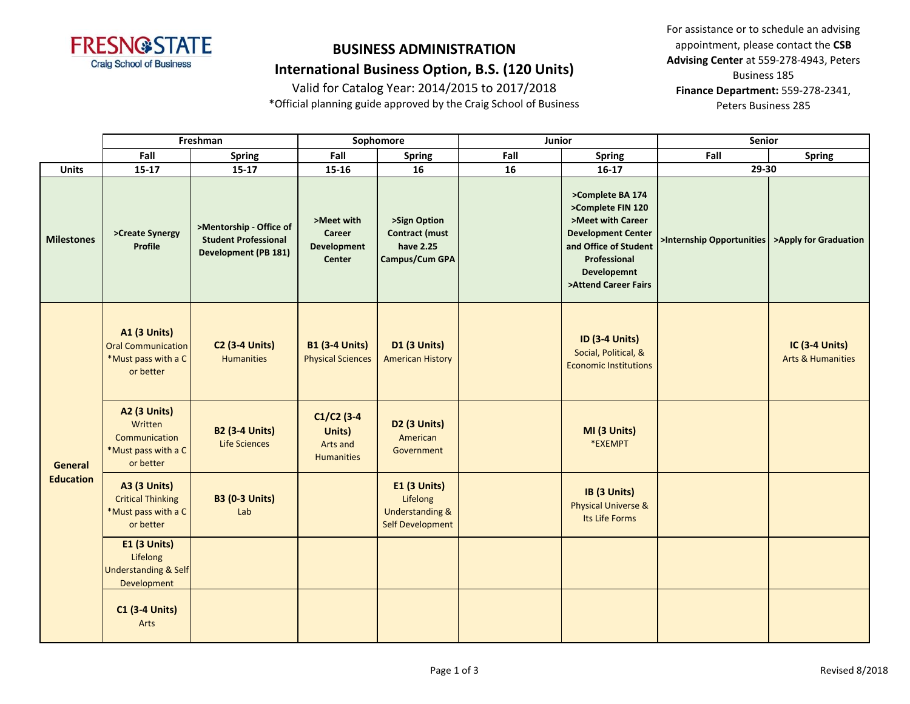

## **BUSINESS ADMINISTRATION International Business Option, B.S. (120 Units)**

Valid for Catalog Year: 2014/2015 to 2017/2018

\*Official planning guide approved by the Craig School of Business

|                             | Freshman                                                                             |                                                                                       | Sophomore                                                   |                                                                                          | Junior |                                                                                                                                                                                | Senior                                          |                                                       |  |
|-----------------------------|--------------------------------------------------------------------------------------|---------------------------------------------------------------------------------------|-------------------------------------------------------------|------------------------------------------------------------------------------------------|--------|--------------------------------------------------------------------------------------------------------------------------------------------------------------------------------|-------------------------------------------------|-------------------------------------------------------|--|
|                             | Fall                                                                                 | <b>Spring</b>                                                                         | Fall                                                        | <b>Spring</b>                                                                            | Fall   | <b>Spring</b>                                                                                                                                                                  | Fall                                            | <b>Spring</b>                                         |  |
| <b>Units</b>                | $15-17$                                                                              | $15 - 17$                                                                             | 15-16                                                       | 16                                                                                       | 16     | $16-17$                                                                                                                                                                        | $29 - 30$                                       |                                                       |  |
| <b>Milestones</b>           | >Create Synergy<br>Profile                                                           | >Mentorship - Office of<br><b>Student Professional</b><br><b>Development (PB 181)</b> | >Meet with<br>Career<br><b>Development</b><br><b>Center</b> | >Sign Option<br><b>Contract (must</b><br>have 2.25<br>Campus/Cum GPA                     |        | >Complete BA 174<br>>Complete FIN 120<br>>Meet with Career<br><b>Development Center</b><br>and Office of Student<br>Professional<br><b>Developemnt</b><br>>Attend Career Fairs | >Internship Opportunities >Apply for Graduation |                                                       |  |
|                             | <b>A1 (3 Units)</b><br><b>Oral Communication</b><br>*Must pass with a C<br>or better | <b>C2 (3-4 Units)</b><br><b>Humanities</b>                                            | <b>B1 (3-4 Units)</b><br><b>Physical Sciences</b>           | <b>D1 (3 Units)</b><br><b>American History</b>                                           |        | <b>ID (3-4 Units)</b><br>Social, Political, &<br><b>Economic Institutions</b>                                                                                                  |                                                 | <b>IC (3-4 Units)</b><br><b>Arts &amp; Humanities</b> |  |
| General<br><b>Education</b> | <b>A2 (3 Units)</b><br>Written<br>Communication<br>*Must pass with a C<br>or better  | <b>B2 (3-4 Units)</b><br><b>Life Sciences</b>                                         | $C1/C2$ (3-4<br>Units)<br>Arts and<br><b>Humanities</b>     | <b>D2 (3 Units)</b><br>American<br>Government                                            |        | MI (3 Units)<br>*EXEMPT                                                                                                                                                        |                                                 |                                                       |  |
|                             | <b>A3 (3 Units)</b><br><b>Critical Thinking</b><br>*Must pass with a C<br>or better  | <b>B3 (0-3 Units)</b><br>Lab                                                          |                                                             | <b>E1 (3 Units)</b><br>Lifelong<br><b>Understanding &amp;</b><br><b>Self Development</b> |        | IB (3 Units)<br><b>Physical Universe &amp;</b><br>Its Life Forms                                                                                                               |                                                 |                                                       |  |
|                             | <b>E1 (3 Units)</b><br>Lifelong<br><b>Understanding &amp; Self</b><br>Development    |                                                                                       |                                                             |                                                                                          |        |                                                                                                                                                                                |                                                 |                                                       |  |
|                             | <b>C1 (3-4 Units)</b><br>Arts                                                        |                                                                                       |                                                             |                                                                                          |        |                                                                                                                                                                                |                                                 |                                                       |  |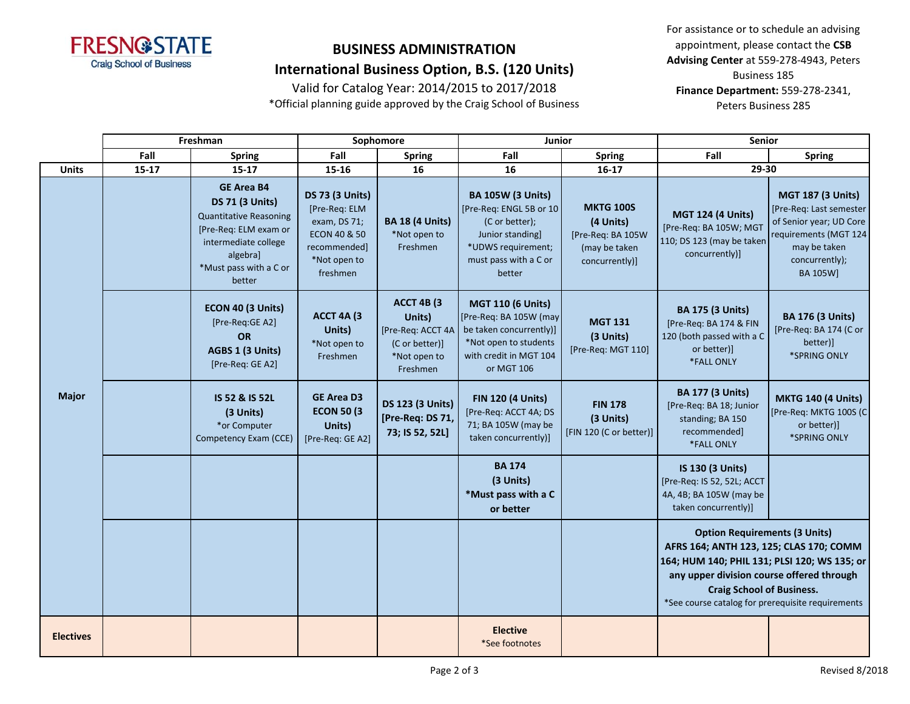

## **BUSINESS ADMINISTRATION International Business Option, B.S. (120 Units)**

Valid for Catalog Year: 2014/2015 to 2017/2018

\*Official planning guide approved by the Craig School of Business

|                  | Freshman  |                                                                                                                                                                               | Sophomore                                                                                                                      |                                                                                         | <b>Junior</b>                                                                                                                                      |                                                                                       | Senior                                                                                                                                                                                                                                                                |                                                                                                                                                        |  |
|------------------|-----------|-------------------------------------------------------------------------------------------------------------------------------------------------------------------------------|--------------------------------------------------------------------------------------------------------------------------------|-----------------------------------------------------------------------------------------|----------------------------------------------------------------------------------------------------------------------------------------------------|---------------------------------------------------------------------------------------|-----------------------------------------------------------------------------------------------------------------------------------------------------------------------------------------------------------------------------------------------------------------------|--------------------------------------------------------------------------------------------------------------------------------------------------------|--|
|                  | Fall      | <b>Spring</b>                                                                                                                                                                 | Fall                                                                                                                           | <b>Spring</b>                                                                           | Fall                                                                                                                                               | <b>Spring</b>                                                                         | Fall                                                                                                                                                                                                                                                                  | <b>Spring</b>                                                                                                                                          |  |
| <b>Units</b>     | $15 - 17$ | $15 - 17$                                                                                                                                                                     | 15-16                                                                                                                          | 16                                                                                      | 16                                                                                                                                                 | $16 - 17$                                                                             | 29-30                                                                                                                                                                                                                                                                 |                                                                                                                                                        |  |
|                  |           | <b>GE Area B4</b><br><b>DS 71 (3 Units)</b><br><b>Quantitative Reasoning</b><br>[Pre-Req: ELM exam or<br>intermediate college<br>algebral<br>*Must pass with a C or<br>better | <b>DS 73 (3 Units)</b><br>[Pre-Req: ELM<br>exam, DS 71;<br><b>ECON 40 &amp; 50</b><br>recommended]<br>*Not open to<br>freshmen | <b>BA 18 (4 Units)</b><br>*Not open to<br>Freshmen                                      | <b>BA 105W (3 Units)</b><br>[Pre-Req: ENGL 5B or 10<br>(C or better);<br>Junior standing]<br>*UDWS requirement;<br>must pass with a C or<br>better | <b>MKTG 100S</b><br>(4 Units)<br>[Pre-Req: BA 105W<br>(may be taken<br>concurrently)] | <b>MGT 124 (4 Units)</b><br>[Pre-Req: BA 105W; MGT<br>110; DS 123 (may be taken<br>concurrently)]                                                                                                                                                                     | <b>MGT 187 (3 Units)</b><br>[Pre-Req: Last semester]<br>of Senior year; UD Core<br>requirements (MGT 124<br>may be taken<br>concurrently);<br>BA 105W] |  |
|                  |           | ECON 40 (3 Units)<br>[Pre-Req:GE A2]<br><b>OR</b><br>AGBS 1 (3 Units)<br>[Pre-Req: GE A2]                                                                                     | <b>ACCT 4A (3)</b><br>Units)<br>*Not open to<br>Freshmen                                                                       | ACCT 4B (3<br>Units)<br>[Pre-Req: ACCT 4A<br>(C or better)]<br>*Not open to<br>Freshmen | <b>MGT 110 (6 Units)</b><br>[Pre-Req: BA 105W (may<br>be taken concurrently)]<br>*Not open to students<br>with credit in MGT 104<br>or MGT 106     | <b>MGT 131</b><br>(3 Units)<br>[Pre-Req: MGT 110]                                     | <b>BA 175 (3 Units)</b><br>[Pre-Req: BA 174 & FIN<br>120 (both passed with a C<br>or better)]<br>*FALL ONLY                                                                                                                                                           | <b>BA 176 (3 Units)</b><br>[Pre-Req: BA 174 (C or<br>better)]<br>*SPRING ONLY                                                                          |  |
| <b>Major</b>     |           | IS 52 & IS 52L<br>(3 Units)<br>*or Computer<br>Competency Exam (CCE)                                                                                                          | <b>GE Area D3</b><br><b>ECON 50 (3)</b><br>Units)<br>[Pre-Req: GE A2]                                                          | <b>DS 123 (3 Units)</b><br>[Pre-Req: DS 71,<br>73; IS 52, 52L]                          | <b>FIN 120 (4 Units)</b><br>[Pre-Req: ACCT 4A; DS<br>71; BA 105W (may be<br>taken concurrently)]                                                   | <b>FIN 178</b><br>(3 Units)<br>[FIN 120 (C or better)]                                | <b>BA 177 (3 Units)</b><br>[Pre-Req: BA 18; Junior<br>standing; BA 150<br>recommended]<br>*FALL ONLY                                                                                                                                                                  | <b>MKTG 140 (4 Units)</b><br>[Pre-Req: MKTG 100S (C<br>or better)]<br>*SPRING ONLY                                                                     |  |
|                  |           |                                                                                                                                                                               |                                                                                                                                |                                                                                         | <b>BA 174</b><br>(3 Units)<br>*Must pass with a C<br>or better                                                                                     |                                                                                       | IS 130 (3 Units)<br>[Pre-Req: IS 52, 52L; ACCT<br>4A, 4B; BA 105W (may be<br>taken concurrently)]                                                                                                                                                                     |                                                                                                                                                        |  |
|                  |           |                                                                                                                                                                               |                                                                                                                                |                                                                                         |                                                                                                                                                    |                                                                                       | <b>Option Requirements (3 Units)</b><br>AFRS 164; ANTH 123, 125; CLAS 170; COMM<br>164; HUM 140; PHIL 131; PLSI 120; WS 135; or<br>any upper division course offered through<br><b>Craig School of Business.</b><br>*See course catalog for prerequisite requirements |                                                                                                                                                        |  |
| <b>Electives</b> |           |                                                                                                                                                                               |                                                                                                                                |                                                                                         | <b>Elective</b><br>*See footnotes                                                                                                                  |                                                                                       |                                                                                                                                                                                                                                                                       |                                                                                                                                                        |  |